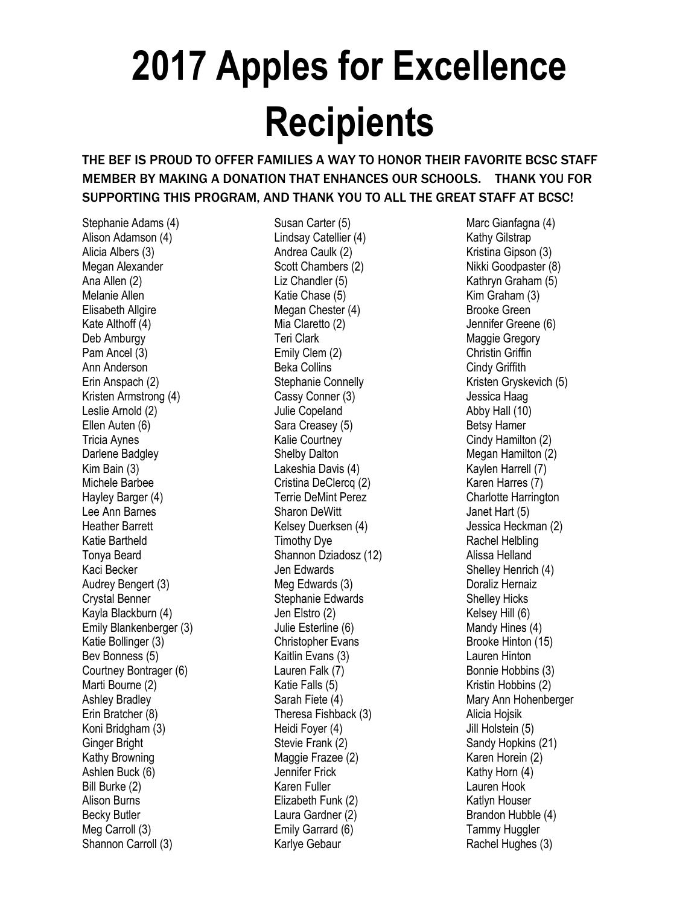## **2017 Apples for Excellence Recipients**

## THE BEF IS PROUD TO OFFER FAMILIES A WAY TO HONOR THEIR FAVORITE BCSC STAFF MEMBER BY MAKING A DONATION THAT ENHANCES OUR SCHOOLS. THANK YOU FOR SUPPORTING THIS PROGRAM, AND THANK YOU TO ALL THE GREAT STAFF AT BCSC!

Stephanie Adams (4) Alison Adamson (4) Alicia Albers (3) Megan Alexander Ana Allen (2) Melanie Allen Elisabeth Allgire Kate Althoff (4) Deb Amburgy Pam Ancel (3) Ann Anderson Erin Anspach (2) Kristen Armstrong (4) Leslie Arnold (2) Ellen Auten (6) Tricia Aynes Darlene Badgley Kim Bain (3) Michele Barbee Hayley Barger (4) Lee Ann Barnes Heather Barrett Katie Bartheld Tonya Beard Kaci Becker Audrey Bengert (3) Crystal Benner Kayla Blackburn (4) Emily Blankenberger (3) Katie Bollinger (3) Bev Bonness (5) Courtney Bontrager (6) Marti Bourne (2) Ashley Bradley Erin Bratcher (8) Koni Bridgham (3) Ginger Bright Kathy Browning Ashlen Buck (6) Bill Burke (2) Alison Burns Becky Butler Meg Carroll (3) Shannon Carroll (3)

Susan Carter (5) Lindsay Catellier (4) Andrea Caulk (2) Scott Chambers (2) Liz Chandler (5) Katie Chase (5) Megan Chester (4) Mia Claretto (2) Teri Clark Emily Clem (2) Beka Collins Stephanie Connelly Cassy Conner (3) Julie Copeland Sara Creasey (5) Kalie Courtney Shelby Dalton Lakeshia Davis (4) Cristina DeClercq (2) Terrie DeMint Perez Sharon DeWitt Kelsey Duerksen (4) Timothy Dye Shannon Dziadosz (12) Jen Edwards Meg Edwards (3) Stephanie Edwards Jen Elstro (2) Julie Esterline (6) Christopher Evans Kaitlin Evans (3) Lauren Falk (7) Katie Falls (5) Sarah Fiete (4) Theresa Fishback (3) Heidi Foyer (4) Stevie Frank (2) Maggie Frazee (2) Jennifer Frick Karen Fuller Elizabeth Funk (2) Laura Gardner (2) Emily Garrard (6) Karlye Gebaur

Marc Gianfagna (4) Kathy Gilstrap Kristina Gipson (3) Nikki Goodpaster (8) Kathryn Graham (5) Kim Graham (3) Brooke Green Jennifer Greene (6) Maggie Gregory Christin Griffin Cindy Griffith Kristen Gryskevich (5) Jessica Haag Abby Hall (10) Betsy Hamer Cindy Hamilton (2) Megan Hamilton (2) Kaylen Harrell (7) Karen Harres (7) Charlotte Harrington Janet Hart (5) Jessica Heckman (2) Rachel Helbling Alissa Helland Shelley Henrich (4) Doraliz Hernaiz Shelley Hicks Kelsey Hill (6) Mandy Hines (4) Brooke Hinton (15) Lauren Hinton Bonnie Hobbins (3) Kristin Hobbins (2) Mary Ann Hohenberger Alicia Hojsik Jill Holstein (5) Sandy Hopkins (21) Karen Horein (2) Kathy Horn (4) Lauren Hook Katlyn Houser Brandon Hubble (4) Tammy Huggler Rachel Hughes (3)